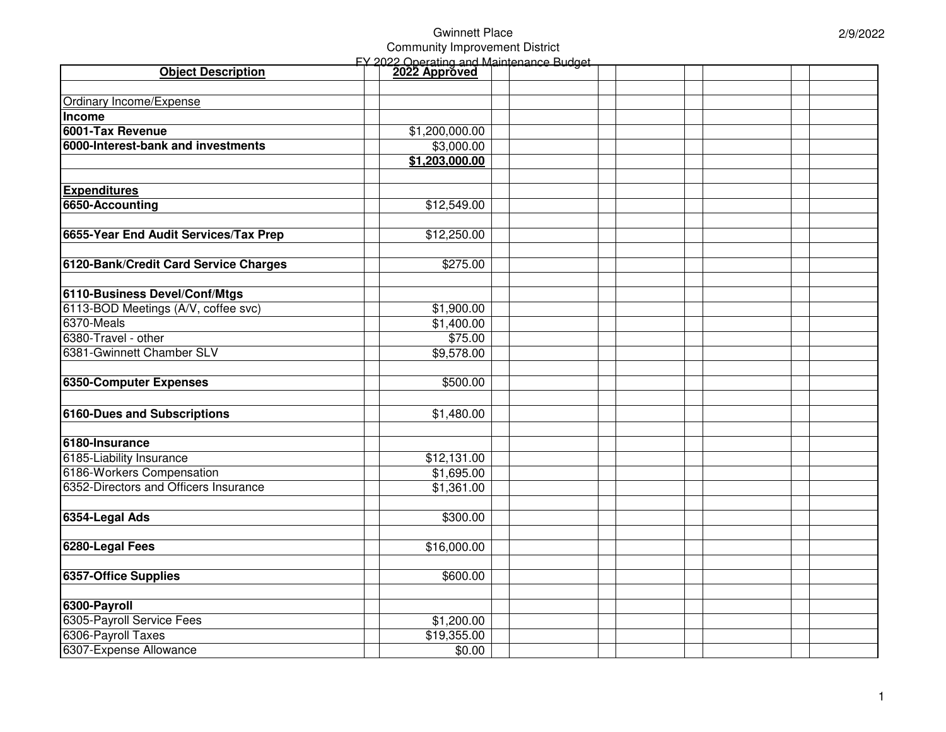## Gwinnett Place Community Improvement District

|                                       | <b>FY 2022 Operating and Maintenance Budget</b> |  |  |  |  |
|---------------------------------------|-------------------------------------------------|--|--|--|--|
| <b>Object Description</b>             | 2022 Approved                                   |  |  |  |  |
|                                       |                                                 |  |  |  |  |
| Ordinary Income/Expense               |                                                 |  |  |  |  |
| Income                                |                                                 |  |  |  |  |
| 6001-Tax Revenue                      | \$1,200,000.00                                  |  |  |  |  |
| 6000-Interest-bank and investments    | \$3,000.00                                      |  |  |  |  |
|                                       | \$1,203,000.00                                  |  |  |  |  |
|                                       |                                                 |  |  |  |  |
| <b>Expenditures</b>                   |                                                 |  |  |  |  |
| 6650-Accounting                       | \$12,549.00                                     |  |  |  |  |
|                                       |                                                 |  |  |  |  |
| 6655-Year End Audit Services/Tax Prep | \$12,250.00                                     |  |  |  |  |
|                                       |                                                 |  |  |  |  |
| 6120-Bank/Credit Card Service Charges | \$275.00                                        |  |  |  |  |
|                                       |                                                 |  |  |  |  |
| 6110-Business Devel/Conf/Mtgs         |                                                 |  |  |  |  |
| 6113-BOD Meetings (A/V, coffee svc)   | \$1,900.00                                      |  |  |  |  |
| 6370-Meals                            | \$1,400.00                                      |  |  |  |  |
| 6380-Travel - other                   | \$75.00                                         |  |  |  |  |
| 6381-Gwinnett Chamber SLV             | \$9,578.00                                      |  |  |  |  |
|                                       |                                                 |  |  |  |  |
| 6350-Computer Expenses                | \$500.00                                        |  |  |  |  |
|                                       |                                                 |  |  |  |  |
| <b>6160-Dues and Subscriptions</b>    | \$1,480.00                                      |  |  |  |  |
|                                       |                                                 |  |  |  |  |
| 6180-Insurance                        |                                                 |  |  |  |  |
| 6185-Liability Insurance              | \$12,131.00                                     |  |  |  |  |
| 6186-Workers Compensation             | \$1,695.00                                      |  |  |  |  |
| 6352-Directors and Officers Insurance | \$1,361.00                                      |  |  |  |  |
|                                       |                                                 |  |  |  |  |
| 6354-Legal Ads                        | \$300.00                                        |  |  |  |  |
|                                       |                                                 |  |  |  |  |
| 6280-Legal Fees                       | \$16,000.00                                     |  |  |  |  |
|                                       |                                                 |  |  |  |  |
| 6357-Office Supplies                  | \$600.00                                        |  |  |  |  |
|                                       |                                                 |  |  |  |  |
| 6300-Payroll                          |                                                 |  |  |  |  |
| 6305-Payroll Service Fees             | \$1,200.00                                      |  |  |  |  |
| 6306-Payroll Taxes                    | \$19,355.00                                     |  |  |  |  |
| 6307-Expense Allowance                | \$0.00                                          |  |  |  |  |
|                                       |                                                 |  |  |  |  |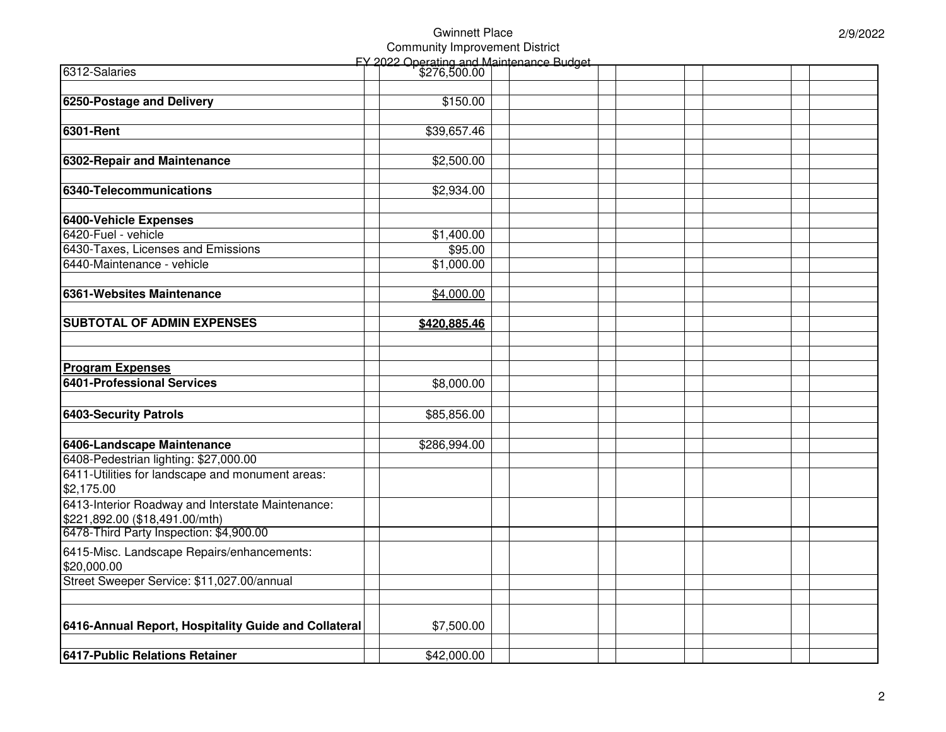## Gwinnett Place Community Improvement District

| \$2,934.00   |                                                                                                                                         |                                                       |  |  |
|--------------|-----------------------------------------------------------------------------------------------------------------------------------------|-------------------------------------------------------|--|--|
|              |                                                                                                                                         |                                                       |  |  |
|              |                                                                                                                                         |                                                       |  |  |
|              |                                                                                                                                         |                                                       |  |  |
|              |                                                                                                                                         |                                                       |  |  |
|              |                                                                                                                                         |                                                       |  |  |
|              |                                                                                                                                         |                                                       |  |  |
|              |                                                                                                                                         |                                                       |  |  |
|              |                                                                                                                                         |                                                       |  |  |
|              |                                                                                                                                         |                                                       |  |  |
|              |                                                                                                                                         |                                                       |  |  |
|              |                                                                                                                                         |                                                       |  |  |
|              |                                                                                                                                         |                                                       |  |  |
|              |                                                                                                                                         |                                                       |  |  |
|              |                                                                                                                                         |                                                       |  |  |
|              |                                                                                                                                         |                                                       |  |  |
| \$286,994.00 |                                                                                                                                         |                                                       |  |  |
|              |                                                                                                                                         |                                                       |  |  |
|              |                                                                                                                                         |                                                       |  |  |
|              |                                                                                                                                         |                                                       |  |  |
|              |                                                                                                                                         |                                                       |  |  |
|              |                                                                                                                                         |                                                       |  |  |
|              |                                                                                                                                         |                                                       |  |  |
|              |                                                                                                                                         |                                                       |  |  |
|              |                                                                                                                                         |                                                       |  |  |
|              |                                                                                                                                         |                                                       |  |  |
|              |                                                                                                                                         |                                                       |  |  |
| \$7,500.00   |                                                                                                                                         |                                                       |  |  |
|              |                                                                                                                                         |                                                       |  |  |
| \$42,000.00  |                                                                                                                                         |                                                       |  |  |
|              | \$150.00<br>\$39,657.46<br>\$2,500.00<br>\$1,400.00<br>\$95.00<br>\$1,000.00<br>\$4,000.00<br>\$420,885.46<br>\$8,000.00<br>\$85,856.00 | $\mathsf{F}$ Y 2022 Operating and Maintenance Budget. |  |  |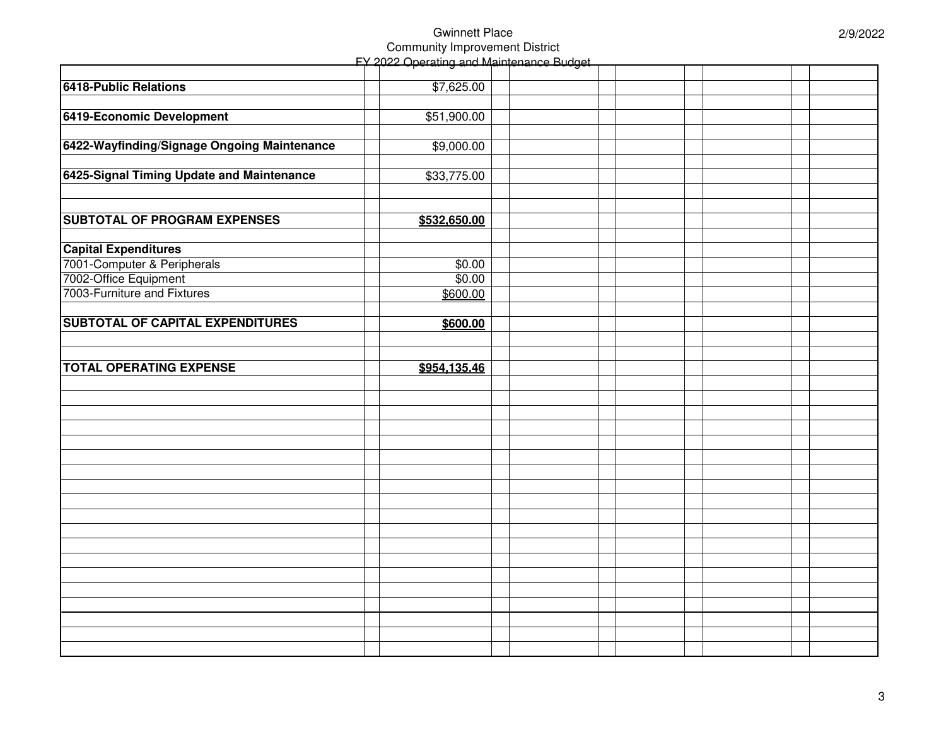## Gwinnett Place Community Improvement District FY 2022 Operating and Maintenance Budget

|                                             | <del>heramiy a</del> r |  |  |  |  |
|---------------------------------------------|------------------------|--|--|--|--|
|                                             |                        |  |  |  |  |
| <b>6418-Public Relations</b>                | \$7,625.00             |  |  |  |  |
|                                             |                        |  |  |  |  |
| 6419-Economic Development                   | \$51,900.00            |  |  |  |  |
|                                             |                        |  |  |  |  |
| 6422-Wayfinding/Signage Ongoing Maintenance | \$9,000.00             |  |  |  |  |
|                                             |                        |  |  |  |  |
| 6425-Signal Timing Update and Maintenance   | \$33,775.00            |  |  |  |  |
|                                             |                        |  |  |  |  |
|                                             |                        |  |  |  |  |
| <b>SUBTOTAL OF PROGRAM EXPENSES</b>         | \$532,650.00           |  |  |  |  |
|                                             |                        |  |  |  |  |
| <b>Capital Expenditures</b>                 |                        |  |  |  |  |
| 7001-Computer & Peripherals                 | \$0.00                 |  |  |  |  |
| 7002-Office Equipment                       | \$0.00                 |  |  |  |  |
| 7003-Furniture and Fixtures                 | \$600.00               |  |  |  |  |
|                                             |                        |  |  |  |  |
| <b>SUBTOTAL OF CAPITAL EXPENDITURES</b>     | \$600.00               |  |  |  |  |
|                                             |                        |  |  |  |  |
|                                             |                        |  |  |  |  |
| <b>TOTAL OPERATING EXPENSE</b>              | \$954,135.46           |  |  |  |  |
|                                             |                        |  |  |  |  |
|                                             |                        |  |  |  |  |
|                                             |                        |  |  |  |  |
|                                             |                        |  |  |  |  |
|                                             |                        |  |  |  |  |
|                                             |                        |  |  |  |  |
|                                             |                        |  |  |  |  |
|                                             |                        |  |  |  |  |
|                                             |                        |  |  |  |  |
|                                             |                        |  |  |  |  |
|                                             |                        |  |  |  |  |
|                                             |                        |  |  |  |  |
|                                             |                        |  |  |  |  |
|                                             |                        |  |  |  |  |
|                                             |                        |  |  |  |  |
|                                             |                        |  |  |  |  |
|                                             |                        |  |  |  |  |
|                                             |                        |  |  |  |  |
|                                             |                        |  |  |  |  |
|                                             |                        |  |  |  |  |